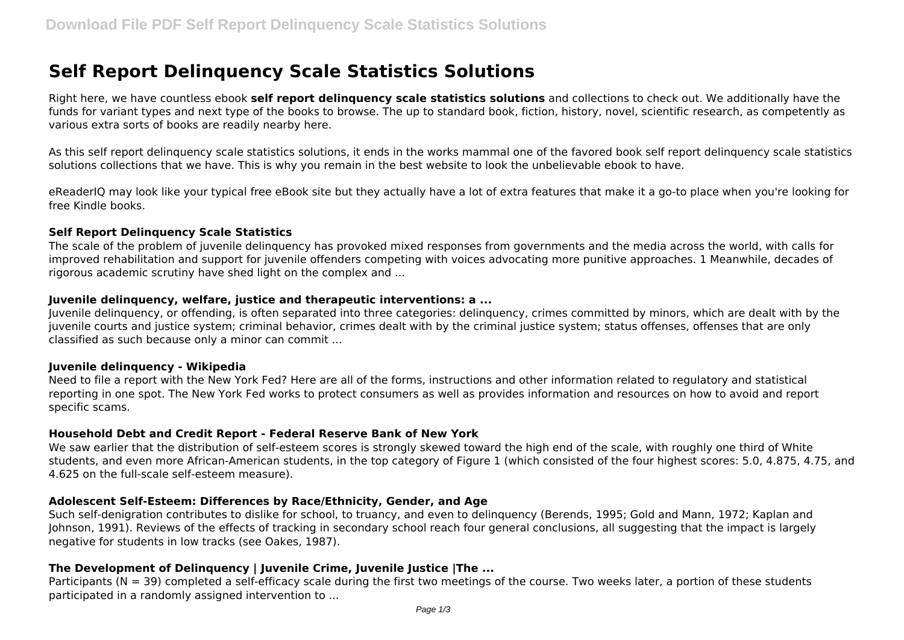# **Self Report Delinquency Scale Statistics Solutions**

Right here, we have countless ebook **self report delinquency scale statistics solutions** and collections to check out. We additionally have the funds for variant types and next type of the books to browse. The up to standard book, fiction, history, novel, scientific research, as competently as various extra sorts of books are readily nearby here.

As this self report delinquency scale statistics solutions, it ends in the works mammal one of the favored book self report delinquency scale statistics solutions collections that we have. This is why you remain in the best website to look the unbelievable ebook to have.

eReaderIQ may look like your typical free eBook site but they actually have a lot of extra features that make it a go-to place when you're looking for free Kindle books.

#### **Self Report Delinquency Scale Statistics**

The scale of the problem of juvenile delinquency has provoked mixed responses from governments and the media across the world, with calls for improved rehabilitation and support for juvenile offenders competing with voices advocating more punitive approaches. 1 Meanwhile, decades of rigorous academic scrutiny have shed light on the complex and ...

#### **Juvenile delinquency, welfare, justice and therapeutic interventions: a ...**

Juvenile delinquency, or offending, is often separated into three categories: delinquency, crimes committed by minors, which are dealt with by the juvenile courts and justice system; criminal behavior, crimes dealt with by the criminal justice system; status offenses, offenses that are only classified as such because only a minor can commit ...

#### **Juvenile delinquency - Wikipedia**

Need to file a report with the New York Fed? Here are all of the forms, instructions and other information related to regulatory and statistical reporting in one spot. The New York Fed works to protect consumers as well as provides information and resources on how to avoid and report specific scams.

## **Household Debt and Credit Report - Federal Reserve Bank of New York**

We saw earlier that the distribution of self-esteem scores is strongly skewed toward the high end of the scale, with roughly one third of White students, and even more African-American students, in the top category of Figure 1 (which consisted of the four highest scores: 5.0, 4.875, 4.75, and 4.625 on the full-scale self-esteem measure).

## **Adolescent Self-Esteem: Differences by Race/Ethnicity, Gender, and Age**

Such self-denigration contributes to dislike for school, to truancy, and even to delinquency (Berends, 1995; Gold and Mann, 1972; Kaplan and Johnson, 1991). Reviews of the effects of tracking in secondary school reach four general conclusions, all suggesting that the impact is largely negative for students in low tracks (see Oakes, 1987).

## **The Development of Delinquency | Juvenile Crime, Juvenile Justice |The ...**

Participants (N = 39) completed a self-efficacy scale during the first two meetings of the course. Two weeks later, a portion of these students participated in a randomly assigned intervention to ...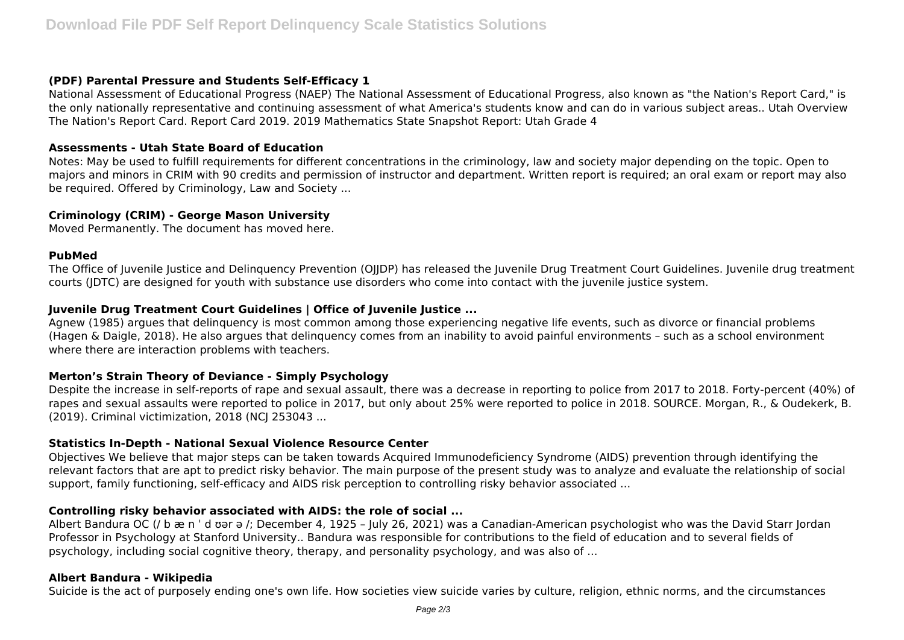## **(PDF) Parental Pressure and Students Self-Efficacy 1**

National Assessment of Educational Progress (NAEP) The National Assessment of Educational Progress, also known as "the Nation's Report Card," is the only nationally representative and continuing assessment of what America's students know and can do in various subject areas.. Utah Overview The Nation's Report Card. Report Card 2019. 2019 Mathematics State Snapshot Report: Utah Grade 4

# **Assessments - Utah State Board of Education**

Notes: May be used to fulfill requirements for different concentrations in the criminology, law and society major depending on the topic. Open to majors and minors in CRIM with 90 credits and permission of instructor and department. Written report is required; an oral exam or report may also be required. Offered by Criminology, Law and Society ...

# **Criminology (CRIM) - George Mason University**

Moved Permanently. The document has moved here.

## **PubMed**

The Office of Juvenile Justice and Delinquency Prevention (OJJDP) has released the Juvenile Drug Treatment Court Guidelines. Juvenile drug treatment courts (JDTC) are designed for youth with substance use disorders who come into contact with the juvenile justice system.

# **Juvenile Drug Treatment Court Guidelines | Office of Juvenile Justice ...**

Agnew (1985) argues that delinquency is most common among those experiencing negative life events, such as divorce or financial problems (Hagen & Daigle, 2018). He also argues that delinquency comes from an inability to avoid painful environments – such as a school environment where there are interaction problems with teachers.

# **Merton's Strain Theory of Deviance - Simply Psychology**

Despite the increase in self-reports of rape and sexual assault, there was a decrease in reporting to police from 2017 to 2018. Forty-percent (40%) of rapes and sexual assaults were reported to police in 2017, but only about 25% were reported to police in 2018. SOURCE. Morgan, R., & Oudekerk, B. (2019). Criminal victimization, 2018 (NCJ 253043 ...

# **Statistics In-Depth - National Sexual Violence Resource Center**

Objectives We believe that major steps can be taken towards Acquired Immunodeficiency Syndrome (AIDS) prevention through identifying the relevant factors that are apt to predict risky behavior. The main purpose of the present study was to analyze and evaluate the relationship of social support, family functioning, self-efficacy and AIDS risk perception to controlling risky behavior associated ...

# **Controlling risky behavior associated with AIDS: the role of social ...**

Albert Bandura OC (/ b æ n ˈ d ʊər ə /; December 4, 1925 – July 26, 2021) was a Canadian-American psychologist who was the David Starr Jordan Professor in Psychology at Stanford University.. Bandura was responsible for contributions to the field of education and to several fields of psychology, including social cognitive theory, therapy, and personality psychology, and was also of ...

## **Albert Bandura - Wikipedia**

Suicide is the act of purposely ending one's own life. How societies view suicide varies by culture, religion, ethnic norms, and the circumstances